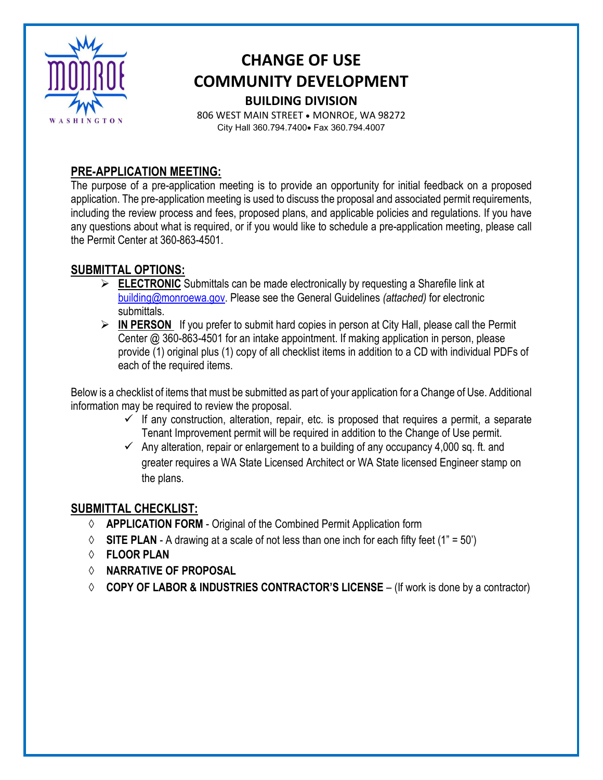

# **CHANGE OF USE COMMUNITY DEVELOPMENT BUILDING DIVISION**

806 WEST MAIN STREET • MONROE, WA 98272 City Hall 360.794.7400• Fax 360.794.4007

#### **PRE-APPLICATION MEETING:**

The purpose of a pre-application meeting is to provide an opportunity for initial feedback on a proposed application. The pre-application meeting is used to discuss the proposal and associated permit requirements, including the review process and fees, proposed plans, and applicable policies and regulations. If you have any questions about what is required, or if you would like to schedule a pre-application meeting, please call the Permit Center at 360-863-4501.

### **SUBMITTAL OPTIONS:**

- **ELECTRONIC** Submittals can be made electronically by requesting a Sharefile link at [building@monroewa.gov.](mailto:building@monroewa.gov) Please see the General Guidelines *(attached)* for electronic submittals.
- **IN PERSON** If you prefer to submit hard copies in person at City Hall, please call the Permit Center @ 360-863-4501 for an intake appointment. If making application in person, please provide (1) original plus (1) copy of all checklist items in addition to a CD with individual PDFs of each of the required items.

Below is a checklist of items that must be submitted as part of your application for a Change of Use. Additional information may be required to review the proposal.

- $\checkmark$  If any construction, alteration, repair, etc. is proposed that requires a permit, a separate Tenant Improvement permit will be required in addition to the Change of Use permit.
- $\checkmark$  Any alteration, repair or enlargement to a building of any occupancy 4,000 sq. ft. and greater requires a WA State Licensed Architect or WA State licensed Engineer stamp on the plans.

#### **SUBMITTAL CHECKLIST:**

- ◊ **APPLICATION FORM** Original of the Combined Permit Application form
- $\Diamond$  **SITE PLAN** A drawing at a scale of not less than one inch for each fifty feet (1" = 50')
- ◊ **FLOOR PLAN**
- ◊ **NARRATIVE OF PROPOSAL**
- ◊ **COPY OF LABOR & INDUSTRIES CONTRACTOR'S LICENSE**  (If work is done by a contractor)